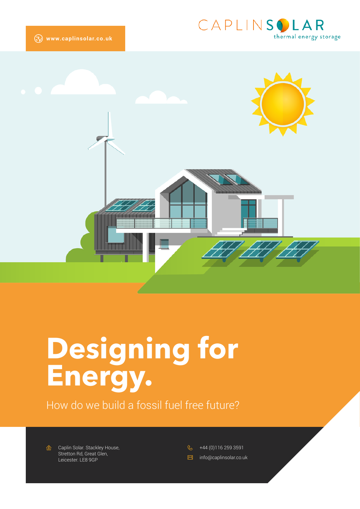



# **Designing for Energy.**

How do we build a fossil fuel free future?

*<a* Caplin Solar. Stackley House, Stretton Rd, Great Glen, Leicester. LE8 9GP

 $\beta$ +44 (0)116 259 3591

 $\boxtimes$ info@caplinsolar.co.uk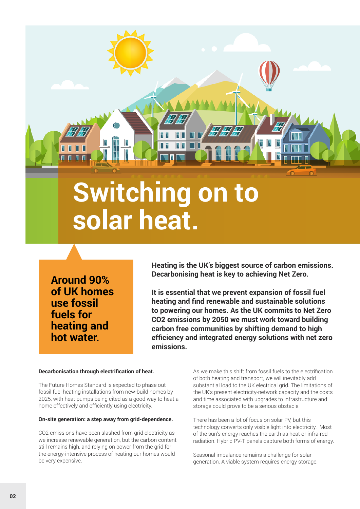# **Switching on to solar heat.**

**Around 90% of UK homes use fossil fuels for heating and hot water.**

**Heating is the UK's biggest source of carbon emissions. Decarbonising heat is key to achieving Net Zero.**

**It is essential that we prevent expansion of fossil fuel heating and find renewable and sustainable solutions to powering our homes. As the UK commits to Net Zero CO2 emissions by 2050 we must work toward building carbon free communities by shifting demand to high efficiency and integrated energy solutions with net zero emissions.**

#### **Decarbonisation through electrification of heat.**

The Future Homes Standard is expected to phase out fossil fuel heating installations from new-build homes by 2025, with heat pumps being cited as a good way to heat a home effectively and efficiently using electricity.

#### **On-site generation: a step away from grid-dependence.**

CO2 emissions have been slashed from grid electricity as we increase renewable generation, but the carbon content still remains high, and relying on power from the grid for the energy-intensive process of heating our homes would be very expensive.

As we make this shift from fossil fuels to the electrification of both heating and transport, we will inevitably add substantial load to the UK electrical grid. The limitations of the UK's present electricity-network capacity and the costs and time associated with upgrades to infrastructure and storage could prove to be a serious obstacle.

There has been a lot of focus on solar PV, but this technology converts only visible light into electricity. Most of the sun's energy reaches the earth as heat or infra-red radiation. Hybrid PV-T panels capture both forms of energy.

Seasonal imbalance remains a challenge for solar generation. A viable system requires energy storage.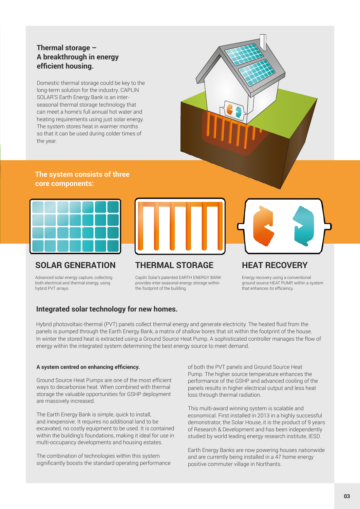### **Thermal storage – A breakthrough in energy efficient housing.**

Domestic thermal storage could be key to the long-term solution for the industry. CAPLIN SOLAR'S Earth Energy Bank is an interseasonal thermal storage technology that can meet a home's full annual hot water and heating requirements using just solar energy. The system stores heat in warmer months so that it can be used during colder times of the year.



#### **The system consists of three core components:**



# **SOLAR GENERATION**

Advanced solar energy capture, collecting both electrical and thermal energy, using hybrid PVT arrays.



## **THERMAL STORAGE**

Capiln Solar's patented EARTH ENERGY BANK provides inter-seasonal energy storage within the footprint of the building.



# **HEAT RECOVERY**

Energy recovery using a conventional ground source HEAT PUMP, within a system that enhances its efficiency.

### **Integrated solar technology for new homes.**

Hybrid photovoltaic-thermal (PVT) panels collect thermal energy and generate electricity. The heated fluid from the panels is pumped through the Earth Energy Bank, a matrix of shallow bores that sit within the footprint of the house. In winter the stored heat is extracted using a Ground Source Heat Pump. A sophisticated controller manages the flow of energy within the integrated system determining the best energy source to meet demand.

#### **A system centred on enhancing efficiency.**

Ground Source Heat Pumps are one of the most efficient ways to decarbonise heat. When combined with thermal storage the valuable opportunities for GSHP deployment are massively increased.

The Earth Energy Bank is simple, quick to install, and inexpensive. It requires no additional land to be excavated, no costly equipment to be used. It is contained within the building's foundations, making it ideal for use in multi-occupancy developments and housing estates.

The combination of technologies within this system significantly boosts the standard operating performance of both the PVT panels and Ground Source Heat Pump. The higher source temperature enhances the performance of the GSHP and advanced cooling of the panels results in higher electrical output and less heat loss through thermal radiation.

This multi-award winning system is scalable and economical. First installed in 2013 in a highly successful demonstrator, the Solar House, it is the product of 9 years of Research & Development and has been independently studied by world leading energy research institute, IESD.

Earth Energy Banks are now powering houses nationwide and are currently being installed in a 47 home energy positive commuter village in Northants.